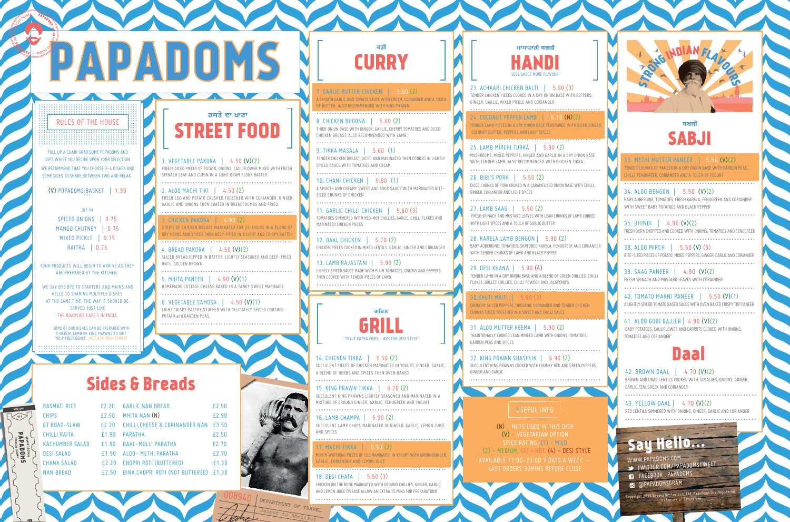0193

# Sides & Breads

AVAILABLE 11:00-23:00 7 DAYS A WEEK ~ (N) - NUTS USED IN THIS DISH (V) - VEGETARIAN OPTION SPICE RATING: (1) - MILD  $(2)$  - MEDIUM,  $(3)$  - HOT,  $(4)$  - DESI STYLE

........................................ ........................................ ........................................ ........................................ ........................................ ........................................

# PAPADOMS

#### RULES OF THE HOUSE ........................................ ........................................ ........................................ ........................................ ........................................ RULES OF THE HOUSE

YOUR PRODUCTS WILL BEGIN TO ARRIVE AS THEY ARE PREPARED BY THE KITCHEN.

. WE SAY BYE BYE TO STARTERS AND MAINS AND HELLO TO SHARING MULTIPLE DISHES AT THE SAME TIME, THE WAY IT SHOULD BE SERVED JUST LIKE THE ROADSIDE CAFE'S IN INDIA.

> BROWN AND URAD LENTILS COOKED WITH TOMATOES, ONIONS, GINGER, GARLIC,FENUGREEK AND CORIANDER

........................................

PULL UP A CHAIR GRAB SOME POPADOMS AND DIPS WHIST YOU DECIDE UPON YOUR SELECTION. WE RECOMMEND THAT YOU CHOOSE 3-4 DISHES AND SOME SIDES TO SHARE BETWEEN TWO AND RELAX.

... (V) POPADOMS BASKET **|** 1.90

DIP IN SPICED ONIONS **|** 0.75 MANGO CHUTNEY **|** 0.75 MIXED PICKLE **|** 0.75 RAITHA **|** 0.75



## Daal

#### 42. BROWN DAAL **|** 4.70 (V)(2)

................................................. 43. YELLOW DAAL **|** 4.70 (V)(2)

RED LENTILS SIMMERED WITH ONIONS, GINGER, GARLIC AND CORIANDER .................................................

................................................... 5. MHITA PANEER | 4.90 (V)(1)<br>HOMEMADE COTTAGE CHEESE BAKED IN A TANGY SWEET MARINADE. 33. METHI MUTTER PANEER **|** 5.50 (V)(2) TENDER CHUNKS OF PANEER IN A DRY ONION BASE WITH GARDEN PEAS, CHILLI, FENUGREEK, CORIANDER AND A TOUCH OF YOGURT .................................................

#### 34. ALOO BENGON **|** 5.50 (V)(2)

BABY AUBERGINE, TOMATOES, FRESH KARELA, FENUGREEK AND CORIANDER WITH SWEET BABY POTATOES AND BLACK PEPPER

.................................................

35. BHINDI **|** 4.90 (V)(2) FRESH OKRA CHOPPED AND COOKED WITH ONIONS, TOMATOES AND FENUGREEK .................................................

25. LAMB MIRCHI TURKA **|** 5.90 (2) MUSHROOMS, MIXED PEPPERS, GINGER AND GARLIC IN A DRY ONION BASE WITH TENDER LAMB. ALSO RECOMMENDED WITH CHICKEN TIKKA

> 38. ALOO MIRCH **|** 5.50 (V) (3) BITE-SIZED PIECES OF POTATO, MIXED PEPPERS, GINGER, GARLIC AND CORIANDER .................................................

39. SAAG PANEER **|** 4.90 (V)(2) FRESH SPINACH AND MUSTARD LEAVES WITH CORIANDER

................................................. 40. TOMATO MAKNI PANEER **|** 5.50 (V)(1) A LIGHTLY SPICED TOMATO BASED SAUCE WITH OVEN BAKED CRISPY TOP PANEER

.................................................

41. ALOO GOBI GAJJER | 4.90 (V)(2) BABY POTATOES, CAULIFLOWER AND CARROTS COOKED WITH ONIONS, TOMATOES AND CORIANDER"



........................................ YOUR PREFERENCE. JUST ASK YOUR SERVER ........................................ ........................................

### ਰਸਤੇ ਦਾ ਖਾਣਾ **REET FOOD**

1. VEGETABLE PAKORA **|** 4.50 (V)(2) FINELY DICED PIECES OF POTATO, ONIONS, CAULIFLOWER MIXED WITH FRESH SPINACH LEAF AND CUMIN IN A LIGHT GRAM FLOUR BATTER.

...................................................

2. ALOO MACHI TIKI **|** 4.50 (2) FRESH COD AND POTATO CRUSHED TOGETHER WITH CORIANDER, GINGER, GARLIC AND ONIONS THEN COATED IN BREADCRUMBS AND FRIED.

10. CHANI CHICKEN **| 5.60 (1)**<br>A SMOOTH AND CREAMY SWEET AND SOUR SAUCE WITH MARINATED BITE-SIZED CHUNKS OF CHICKEN

................................................... 3. CHICKEN PAKORA **|** 4.90 (2) STRIPS OF CHICKEN BREAST MARINATED FOR 24-HOURS IN A BLEND OF DRY HERBS AND SPICES THEN DEEP-FRIED IN A LIGHT AND CRISPY BATTER. ...................................................

4. BREAD PAKORA **|** 4.50 (V)(2) SLICED BREAD DIPPED IN BATTER, LIGHTLY SEASONED AND DEEP-FRIED UNTIL GOLDEN BROWN.

................................................... 6. VEGETABLE SAMOSA **|** 4.50 (V)(1)

> **17. MACHI TIKKA | 5.90 (2)**<br>AOUTH WATERING PIECES OF COD MARINATED IN YOGURT WITH GROUNDGINGER, **GARLIC, CORIANDER AND LEMON JUICE** ...................................................

LIGHT CRISPY PASTRY STUFFED WITH DELICATELY SPICED CRUSHED POTATO and GARDEN PEAS.



23. ACHAARI CHICKEN BALTI **|** 5.90 (3) TENDER CHICKEN PIECES COOKED IN A DRY ONION BASE WITH PEPPERS, GINGER, GARLIC, MIXED PICKLE AND CORIANDER.

...................................................

ਮਾਸਾਹਾਰੀ ਸਬਜ਼ੀ HANDI "LESS SAUCE MORE FLAVOUR"

> WWW.PAPADOMS.COM **TWITTER.COM/PAPADOMSTWEET** FACEBOOK : PAPADOMS **@** @PAPADOMSGRAM

24. COCONUT PEPPER LAMB **|** 6.10 (N)(2) TENDER LAMB PIECES IN A DRY ONION BASE FLAVOURED WITH DICED GINGER, COCONUT BUTTER, PEPPERS AND LIGHT SPICES ...................................................



...................................................

26. BIBI'S PORK **|** 5.50 (2) DICED CHUNKS OF PORK COOKED IN A CARAMELISED ONION BASE WITH CHILLI, GINGER, CORIANDER AND LIGHT SPICES ...................................................

27. LAMB SAAG **|** 5.90 (2) FRESH SPINACH AND MUSTARD LEAVES WITH LEAN CHUNKS OF LAMB COOKED WITH LIGHT SPICES AND A TOUCH OF GARLIC BUTTER. ...................................................

28. KARELA LAMB BENGON **|** 5.90 (2) BABY AUBERGINE, TOMATOES, SHREDDED KARELA, FENUGREEK AND CORIANDER WITH TENDER CHUNKS OF LAMB AND BLACK PEPPER ..................................................

29. DESI KHANA **|** 5.90 (4) TENDER LAMB IN A DRY ONION BASE AND A BLEND OF GREEN CHILLIES, CHILLI FLAKES, BULLET CHILLIES, CHILLI POWDER AND JALAPENO'S

...................................................

30.KHUTI MHITI **|** 5.90 (3) CRUNCHY SLICED PEPPERS, OREGANO, CORIANDER AND TENDER CHICKEN CHUNKS FUSED TOGETHER IN A SWEET AND CHILLI SAUCE ................................................... 31. ALOO MUTTER KEEMA **|** 5.90 (2) TRADITIONALLY COOKED LEAN MINCED LAMB WITH ONIONS, TOMATOES, GARDEN PEAS AND SPICES ................................................... 32. KING PRAWN SHASHLIK **|** 6.90 (2)

SUCCULENT KING PRAWNS COOKED WITH CHUNKY RED AND GREEN PEPPERS, GINGER AND GARLIC ...................................................

7. GARLIC BUTTER CHICKEN **|** 5.60 (2) A SMOOTH GARLIC AND TOMATO SAUCE WITH CREAM, CORIANDER AND A TOUCH OF BUTTER. ALSO RECOMMENDED WITH KING PRAWN.

**CURRY** 

................................................... 8. CHICKEN BHOONA **|** 5.60 (2) THICK ONION BASE WITH GINGER, GARLIC, CHERRY TOMATOES AND DICED CHICKEN BREAST. ALSO RECOMMENDED WITH LAMB.

................................................... 9. TIKKA MASALA **|** 5.60 (1) TENDER CHICKEN BREAST, DICED AND MARINATED THEN COOKED IN LIGHTLY SPICED SAUCE WITH TOMATOES AND CREAM

...................................................

................................................... 11. GARLIC CHILLI CHICKEN **|** 5.60 (3) TOMATOES SIMMERED WITH RED-HOT CHILLIES, GARLIC, CHILLI FLAKES AND MARINATED CHICKEN PIECES ...................................................

12. DAAL CHICKEN **|** 5.70 (2) CHICKEN PIECES COOKED IN MIXED LENTILS, GARLIC, GINGER AND CORIANDER ...................................................

13. LAMB RAJASTANI **|** 5.90 (2) LIGHTLY SPICED SAUCE MADE WITH PLUM TOMATOES, ONIONS AND PEPPERS THEN COOKED WITH TENDER PIECES OF LAMB. ...................................................

14. CHICKEN TIKKA **|** 5.50 (2) SUCCULENT PIECES OF CHICKEN MARINATED IN YOGURT, GINGER, GARLIC, A BLEND OF HERBS AND SPICES THEN OVEN BAKED ...................................................

15. KING PRAWN TIKKA **|** 6.20 (2) SUCCULENT KING PRAWNS LIGHTLY SEASONED AND MARINATED IN A MIXTURE OF GROUND GINGER, GARLIC, FENUGREEK AND YOGURT ...................................................

16. LAMB CHAMPA **|** 5.90 (2) SUCCULENT LAMP CHOPS MARINATED IN GINGER, GARLIC, LEMON JUICE AND SPICES ...................................................

18. DESI CHATA **|** 5.50 (3) CHICKEN ON THE BONE MARINATED WITH GROUND CHILLIES, GINGER, GARLIC AND LEMON JUICE (PLEASE ALLOW AN EXTRA 15 MINS FOR PREPARATION) ...................................................

SOME OF OUR DISHES CAN BE PREPARED WITH CHICKEN, LAMB OR KING PRAWNS TO SUIT

| <b>BASMATI RICE</b>    | f2.20 | <b>GARLIC NAN BREAD</b>               | £2.50 |
|------------------------|-------|---------------------------------------|-------|
| <b>CHIPS</b>           | £2.50 | MHITA NAN (N)                         | £2.90 |
| <b>GT ROAD-SLAW</b>    | £2.20 | CHILLI, CHEESE & CORINANDER NAN £3.50 |       |
| <b>CHILLI RAITA</b>    | f1.90 | PARATHA                               | £2.50 |
| <b>KACHUMBER SALAD</b> | f1.90 | DAAL-MULLI PARATHA                    | £2.70 |
| <b>DESI SALAD</b>      | f190  | ALOO- METHI PARATHA                   | £2.70 |
| <b>CHANA SALAD</b>     | £2.20 | CHOPRI ROTI (BUTTERED)                | £1.30 |
| <b>NAN BREAD</b>       | £2.50 | BINA CHOPRI ROTI (NOT BUTTERED)       | £1.30 |

Say Hello...

Copyright 2015 Bavava Restaurants Ltd. Papadoms is a registered trademark of Bavava Ltd.

#### USEFUL INFO